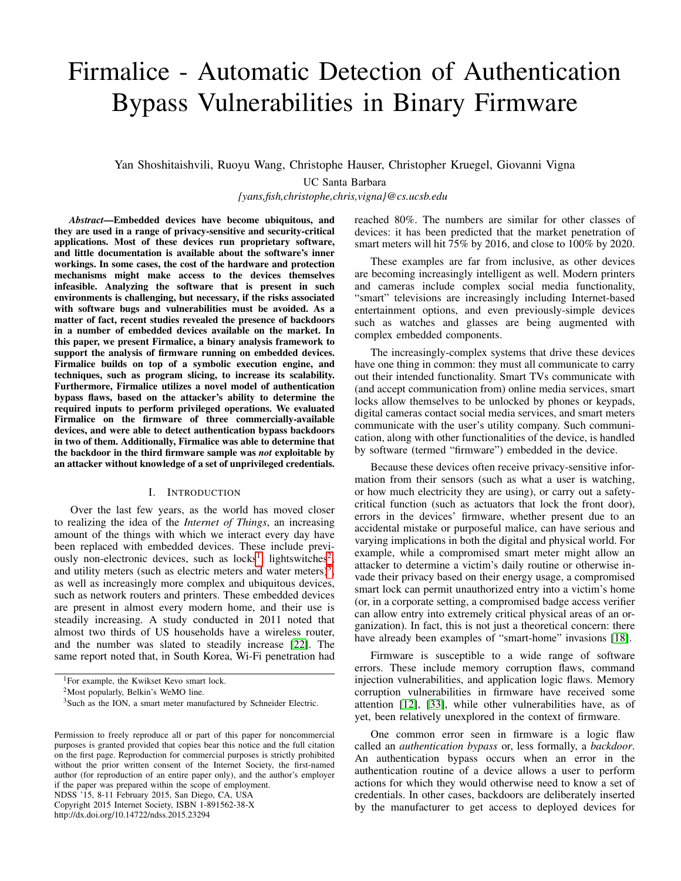# Firmalice - Automatic Detection of Authentication Bypass Vulnerabilities in Binary Firmware

Yan Shoshitaishvili, Ruoyu Wang, Christophe Hauser, Christopher Kruegel, Giovanni Vigna UC Santa Barbara

*{yans,fish,christophe,chris,vigna}@cs.ucsb.edu*

*Abstract*—Embedded devices have become ubiquitous, and they are used in a range of privacy-sensitive and security-critical applications. Most of these devices run proprietary software, and little documentation is available about the software's inner workings. In some cases, the cost of the hardware and protection mechanisms might make access to the devices themselves infeasible. Analyzing the software that is present in such environments is challenging, but necessary, if the risks associated with software bugs and vulnerabilities must be avoided. As a matter of fact, recent studies revealed the presence of backdoors in a number of embedded devices available on the market. In this paper, we present Firmalice, a binary analysis framework to support the analysis of firmware running on embedded devices. Firmalice builds on top of a symbolic execution engine, and techniques, such as program slicing, to increase its scalability. Furthermore, Firmalice utilizes a novel model of authentication bypass flaws, based on the attacker's ability to determine the required inputs to perform privileged operations. We evaluated Firmalice on the firmware of three commercially-available devices, and were able to detect authentication bypass backdoors in two of them. Additionally, Firmalice was able to determine that the backdoor in the third firmware sample was *not* exploitable by an attacker without knowledge of a set of unprivileged credentials.

#### I. INTRODUCTION

Over the last few years, as the world has moved closer to realizing the idea of the *Internet of Things*, an increasing amount of the things with which we interact every day have been replaced with embedded devices. These include previously non-electronic devices, such as locks<sup>1</sup>, lightswitches<sup>2</sup>, and utility meters (such as electric meters and water meters)<sup>3</sup>, as well as increasingly more complex and ubiquitous devices, such as network routers and printers. These embedded devices are present in almost every modern home, and their use is steadily increasing. A study conducted in 2011 noted that almost two thirds of US households have a wireless router, and the number was slated to steadily increase [22]. The same report noted that, in South Korea, Wi-Fi penetration had

NDSS '15, 8-11 February 2015, San Diego, CA, USA Copyright 2015 Internet Society, ISBN 1-891562-38-X

http://dx.doi.org/10.14722/ndss.2015.23294

reached 80%. The numbers are similar for other classes of devices: it has been predicted that the market penetration of smart meters will hit 75% by 2016, and close to 100% by 2020.

These examples are far from inclusive, as other devices are becoming increasingly intelligent as well. Modern printers and cameras include complex social media functionality, "smart" televisions are increasingly including Internet-based entertainment options, and even previously-simple devices such as watches and glasses are being augmented with complex embedded components.

The increasingly-complex systems that drive these devices have one thing in common: they must all communicate to carry out their intended functionality. Smart TVs communicate with (and accept communication from) online media services, smart locks allow themselves to be unlocked by phones or keypads, digital cameras contact social media services, and smart meters communicate with the user's utility company. Such communication, along with other functionalities of the device, is handled by software (termed "firmware") embedded in the device.

Because these devices often receive privacy-sensitive information from their sensors (such as what a user is watching, or how much electricity they are using), or carry out a safetycritical function (such as actuators that lock the front door), errors in the devices' firmware, whether present due to an accidental mistake or purposeful malice, can have serious and varying implications in both the digital and physical world. For example, while a compromised smart meter might allow an attacker to determine a victim's daily routine or otherwise invade their privacy based on their energy usage, a compromised smart lock can permit unauthorized entry into a victim's home (or, in a corporate setting, a compromised badge access verifier can allow entry into extremely critical physical areas of an organization). In fact, this is not just a theoretical concern: there have already been examples of "smart-home" invasions [18].

Firmware is susceptible to a wide range of software errors. These include memory corruption flaws, command injection vulnerabilities, and application logic flaws. Memory corruption vulnerabilities in firmware have received some attention [12], [33], while other vulnerabilities have, as of yet, been relatively unexplored in the context of firmware.

One common error seen in firmware is a logic flaw called an *authentication bypass* or, less formally, a *backdoor*. An authentication bypass occurs when an error in the authentication routine of a device allows a user to perform actions for which they would otherwise need to know a set of credentials. In other cases, backdoors are deliberately inserted by the manufacturer to get access to deployed devices for

<sup>1</sup>For example, the Kwikset Kevo smart lock.

<sup>&</sup>lt;sup>2</sup>Most popularly, Belkin's WeMO line.

<sup>&</sup>lt;sup>3</sup>Such as the ION, a smart meter manufactured by Schneider Electric.

Permission to freely reproduce all or part of this paper for noncommercial purposes is granted provided that copies bear this notice and the full citation on the first page. Reproduction for commercial purposes is strictly prohibited without the prior written consent of the Internet Society, the first-named author (for reproduction of an entire paper only), and the author's employer if the paper was prepared within the scope of employment.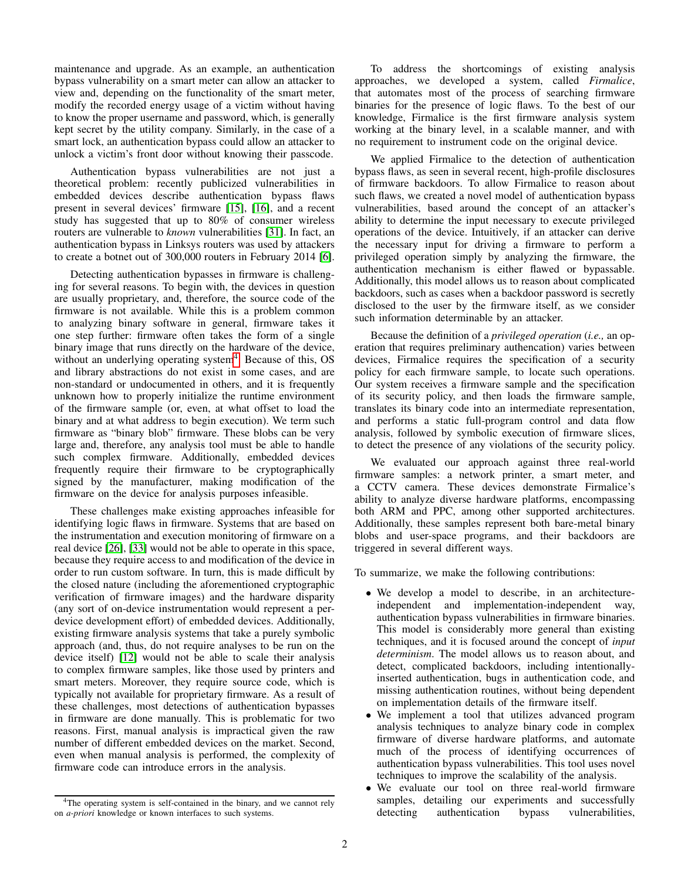maintenance and upgrade. As an example, an authentication bypass vulnerability on a smart meter can allow an attacker to view and, depending on the functionality of the smart meter, modify the recorded energy usage of a victim without having to know the proper username and password, which, is generally kept secret by the utility company. Similarly, in the case of a smart lock, an authentication bypass could allow an attacker to unlock a victim's front door without knowing their passcode.

Authentication bypass vulnerabilities are not just a theoretical problem: recently publicized vulnerabilities in embedded devices describe authentication bypass flaws present in several devices' firmware [15], [16], and a recent study has suggested that up to 80% of consumer wireless routers are vulnerable to *known* vulnerabilities [31]. In fact, an authentication bypass in Linksys routers was used by attackers to create a botnet out of 300,000 routers in February 2014 [6].

Detecting authentication bypasses in firmware is challenging for several reasons. To begin with, the devices in question are usually proprietary, and, therefore, the source code of the firmware is not available. While this is a problem common to analyzing binary software in general, firmware takes it one step further: firmware often takes the form of a single binary image that runs directly on the hardware of the device, without an underlying operating system<sup>4</sup>. Because of this, OS and library abstractions do not exist in some cases, and are non-standard or undocumented in others, and it is frequently unknown how to properly initialize the runtime environment of the firmware sample (or, even, at what offset to load the binary and at what address to begin execution). We term such firmware as "binary blob" firmware. These blobs can be very large and, therefore, any analysis tool must be able to handle such complex firmware. Additionally, embedded devices frequently require their firmware to be cryptographically signed by the manufacturer, making modification of the firmware on the device for analysis purposes infeasible.

These challenges make existing approaches infeasible for identifying logic flaws in firmware. Systems that are based on the instrumentation and execution monitoring of firmware on a real device [26], [33] would not be able to operate in this space, because they require access to and modification of the device in order to run custom software. In turn, this is made difficult by the closed nature (including the aforementioned cryptographic verification of firmware images) and the hardware disparity (any sort of on-device instrumentation would represent a perdevice development effort) of embedded devices. Additionally, existing firmware analysis systems that take a purely symbolic approach (and, thus, do not require analyses to be run on the device itself) [12] would not be able to scale their analysis to complex firmware samples, like those used by printers and smart meters. Moreover, they require source code, which is typically not available for proprietary firmware. As a result of these challenges, most detections of authentication bypasses in firmware are done manually. This is problematic for two reasons. First, manual analysis is impractical given the raw number of different embedded devices on the market. Second, even when manual analysis is performed, the complexity of firmware code can introduce errors in the analysis.

To address the shortcomings of existing analysis approaches, we developed a system, called *Firmalice*, that automates most of the process of searching firmware binaries for the presence of logic flaws. To the best of our knowledge, Firmalice is the first firmware analysis system working at the binary level, in a scalable manner, and with no requirement to instrument code on the original device.

We applied Firmalice to the detection of authentication bypass flaws, as seen in several recent, high-profile disclosures of firmware backdoors. To allow Firmalice to reason about such flaws, we created a novel model of authentication bypass vulnerabilities, based around the concept of an attacker's ability to determine the input necessary to execute privileged operations of the device. Intuitively, if an attacker can derive the necessary input for driving a firmware to perform a privileged operation simply by analyzing the firmware, the authentication mechanism is either flawed or bypassable. Additionally, this model allows us to reason about complicated backdoors, such as cases when a backdoor password is secretly disclosed to the user by the firmware itself, as we consider such information determinable by an attacker.

Because the definition of a *privileged operation* (*i.e.,* an operation that requires preliminary authencation) varies between devices, Firmalice requires the specification of a security policy for each firmware sample, to locate such operations. Our system receives a firmware sample and the specification of its security policy, and then loads the firmware sample, translates its binary code into an intermediate representation, and performs a static full-program control and data flow analysis, followed by symbolic execution of firmware slices, to detect the presence of any violations of the security policy.

We evaluated our approach against three real-world firmware samples: a network printer, a smart meter, and a CCTV camera. These devices demonstrate Firmalice's ability to analyze diverse hardware platforms, encompassing both ARM and PPC, among other supported architectures. Additionally, these samples represent both bare-metal binary blobs and user-space programs, and their backdoors are triggered in several different ways.

To summarize, we make the following contributions:

- We develop a model to describe, in an architectureindependent and implementation-independent way, authentication bypass vulnerabilities in firmware binaries. This model is considerably more general than existing techniques, and it is focused around the concept of *input determinism*. The model allows us to reason about, and detect, complicated backdoors, including intentionallyinserted authentication, bugs in authentication code, and missing authentication routines, without being dependent on implementation details of the firmware itself.
- We implement a tool that utilizes advanced program analysis techniques to analyze binary code in complex firmware of diverse hardware platforms, and automate much of the process of identifying occurrences of authentication bypass vulnerabilities. This tool uses novel techniques to improve the scalability of the analysis.
- We evaluate our tool on three real-world firmware samples, detailing our experiments and successfully detecting authentication bypass vulnerabilities,

<sup>&</sup>lt;sup>4</sup>The operating system is self-contained in the binary, and we cannot rely on *a-priori* knowledge or known interfaces to such systems.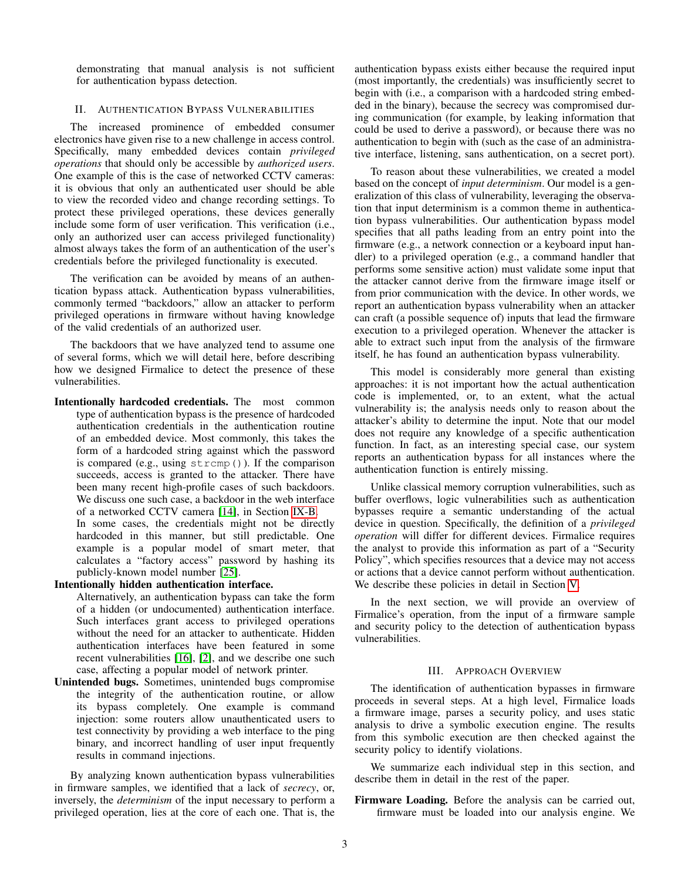demonstrating that manual analysis is not sufficient for authentication bypass detection.

### II. AUTHENTICATION BYPASS VULNERABILITIES

The increased prominence of embedded consumer electronics have given rise to a new challenge in access control. Specifically, many embedded devices contain *privileged operations* that should only be accessible by *authorized users*. One example of this is the case of networked CCTV cameras: it is obvious that only an authenticated user should be able to view the recorded video and change recording settings. To protect these privileged operations, these devices generally include some form of user verification. This verification (i.e., only an authorized user can access privileged functionality) almost always takes the form of an authentication of the user's credentials before the privileged functionality is executed.

The verification can be avoided by means of an authentication bypass attack. Authentication bypass vulnerabilities, commonly termed "backdoors," allow an attacker to perform privileged operations in firmware without having knowledge of the valid credentials of an authorized user.

The backdoors that we have analyzed tend to assume one of several forms, which we will detail here, before describing how we designed Firmalice to detect the presence of these vulnerabilities.

Intentionally hardcoded credentials. The most common type of authentication bypass is the presence of hardcoded authentication credentials in the authentication routine of an embedded device. Most commonly, this takes the form of a hardcoded string against which the password is compared (e.g., using strcmp()). If the comparison succeeds, access is granted to the attacker. There have been many recent high-profile cases of such backdoors. We discuss one such case, a backdoor in the web interface of a networked CCTV camera [14], in Section IX-B.

In some cases, the credentials might not be directly hardcoded in this manner, but still predictable. One example is a popular model of smart meter, that calculates a "factory access" password by hashing its publicly-known model number [25].

# Intentionally hidden authentication interface.

Alternatively, an authentication bypass can take the form of a hidden (or undocumented) authentication interface. Such interfaces grant access to privileged operations without the need for an attacker to authenticate. Hidden authentication interfaces have been featured in some recent vulnerabilities [16], [2], and we describe one such case, affecting a popular model of network printer.

Unintended bugs. Sometimes, unintended bugs compromise the integrity of the authentication routine, or allow its bypass completely. One example is command injection: some routers allow unauthenticated users to test connectivity by providing a web interface to the ping binary, and incorrect handling of user input frequently results in command injections.

By analyzing known authentication bypass vulnerabilities in firmware samples, we identified that a lack of *secrecy*, or, inversely, the *determinism* of the input necessary to perform a privileged operation, lies at the core of each one. That is, the authentication bypass exists either because the required input (most importantly, the credentials) was insufficiently secret to begin with (i.e., a comparison with a hardcoded string embedded in the binary), because the secrecy was compromised during communication (for example, by leaking information that could be used to derive a password), or because there was no authentication to begin with (such as the case of an administrative interface, listening, sans authentication, on a secret port).

To reason about these vulnerabilities, we created a model based on the concept of *input determinism*. Our model is a generalization of this class of vulnerability, leveraging the observation that input determinism is a common theme in authentication bypass vulnerabilities. Our authentication bypass model specifies that all paths leading from an entry point into the firmware (e.g., a network connection or a keyboard input handler) to a privileged operation (e.g., a command handler that performs some sensitive action) must validate some input that the attacker cannot derive from the firmware image itself or from prior communication with the device. In other words, we report an authentication bypass vulnerability when an attacker can craft (a possible sequence of) inputs that lead the firmware execution to a privileged operation. Whenever the attacker is able to extract such input from the analysis of the firmware itself, he has found an authentication bypass vulnerability.

This model is considerably more general than existing approaches: it is not important how the actual authentication code is implemented, or, to an extent, what the actual vulnerability is; the analysis needs only to reason about the attacker's ability to determine the input. Note that our model does not require any knowledge of a specific authentication function. In fact, as an interesting special case, our system reports an authentication bypass for all instances where the authentication function is entirely missing.

Unlike classical memory corruption vulnerabilities, such as buffer overflows, logic vulnerabilities such as authentication bypasses require a semantic understanding of the actual device in question. Specifically, the definition of a *privileged operation* will differ for different devices. Firmalice requires the analyst to provide this information as part of a "Security Policy", which specifies resources that a device may not access or actions that a device cannot perform without authentication. We describe these policies in detail in Section V.

In the next section, we will provide an overview of Firmalice's operation, from the input of a firmware sample and security policy to the detection of authentication bypass vulnerabilities.

#### III. APPROACH OVERVIEW

The identification of authentication bypasses in firmware proceeds in several steps. At a high level, Firmalice loads a firmware image, parses a security policy, and uses static analysis to drive a symbolic execution engine. The results from this symbolic execution are then checked against the security policy to identify violations.

We summarize each individual step in this section, and describe them in detail in the rest of the paper.

Firmware Loading. Before the analysis can be carried out, firmware must be loaded into our analysis engine. We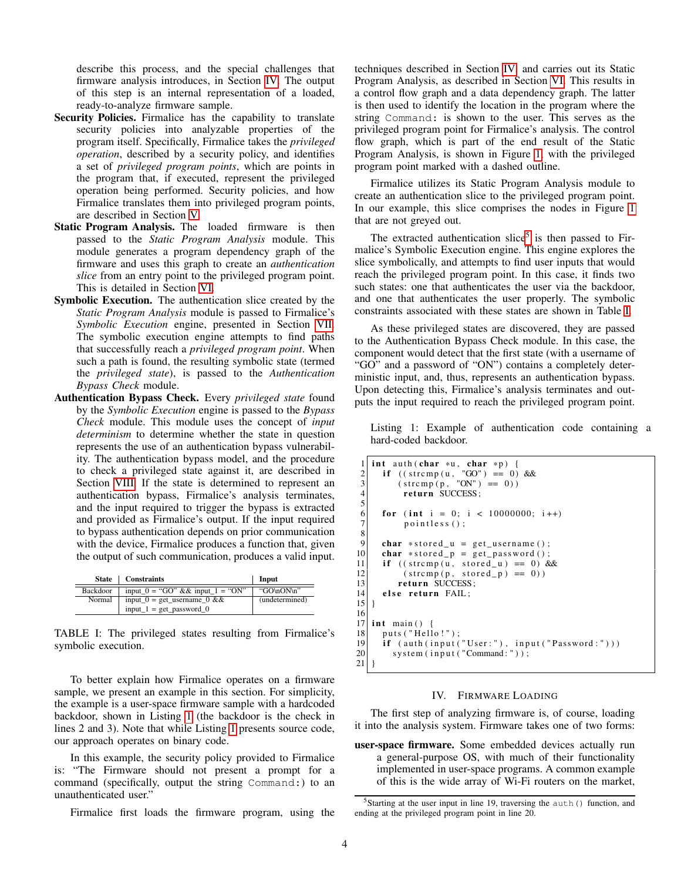describe this process, and the special challenges that firmware analysis introduces, in Section IV. The output of this step is an internal representation of a loaded, ready-to-analyze firmware sample.

- Security Policies. Firmalice has the capability to translate security policies into analyzable properties of the program itself. Specifically, Firmalice takes the *privileged operation*, described by a security policy, and identifies a set of *privileged program points*, which are points in the program that, if executed, represent the privileged operation being performed. Security policies, and how Firmalice translates them into privileged program points, are described in Section V.
- Static Program Analysis. The loaded firmware is then passed to the *Static Program Analysis* module. This module generates a program dependency graph of the firmware and uses this graph to create an *authentication slice* from an entry point to the privileged program point. This is detailed in Section VI.
- Symbolic Execution. The authentication slice created by the *Static Program Analysis* module is passed to Firmalice's *Symbolic Execution* engine, presented in Section VII. The symbolic execution engine attempts to find paths that successfully reach a *privileged program point*. When such a path is found, the resulting symbolic state (termed the *privileged state*), is passed to the *Authentication Bypass Check* module.
- Authentication Bypass Check. Every *privileged state* found by the *Symbolic Execution* engine is passed to the *Bypass Check* module. This module uses the concept of *input determinism* to determine whether the state in question represents the use of an authentication bypass vulnerability. The authentication bypass model, and the procedure to check a privileged state against it, are described in Section VIII. If the state is determined to represent an authentication bypass, Firmalice's analysis terminates, and the input required to trigger the bypass is extracted and provided as Firmalice's output. If the input required to bypass authentication depends on prior communication with the device, Firmalice produces a function that, given the output of such communication, produces a valid input.

| State           | <b>Constraints</b>                                              | Input          |
|-----------------|-----------------------------------------------------------------|----------------|
| <b>Backdoor</b> | input $0 = \text{``GO''} \&\& \text{ input } 1 = \text{``ON''}$ | "GO\nON\n"     |
| Normal          | input_0 = get_username_0 &&                                     | (undetermined) |
|                 | $input_1 = get_password_0$                                      |                |

TABLE I: The privileged states resulting from Firmalice's symbolic execution.

To better explain how Firmalice operates on a firmware sample, we present an example in this section. For simplicity, the example is a user-space firmware sample with a hardcoded backdoor, shown in Listing 1 (the backdoor is the check in lines 2 and 3). Note that while Listing 1 presents source code, our approach operates on binary code.

In this example, the security policy provided to Firmalice is: "The Firmware should not present a prompt for a command (specifically, output the string Command:) to an unauthenticated user."

Firmalice first loads the firmware program, using the

techniques described in Section IV, and carries out its Static Program Analysis, as described in Section VI. This results in a control flow graph and a data dependency graph. The latter is then used to identify the location in the program where the string Command: is shown to the user. This serves as the privileged program point for Firmalice's analysis. The control flow graph, which is part of the end result of the Static Program Analysis, is shown in Figure 1, with the privileged program point marked with a dashed outline.

Firmalice utilizes its Static Program Analysis module to create an authentication slice to the privileged program point. In our example, this slice comprises the nodes in Figure 1 that are not greyed out.

The extracted authentication slice<sup>5</sup> is then passed to Firmalice's Symbolic Execution engine. This engine explores the slice symbolically, and attempts to find user inputs that would reach the privileged program point. In this case, it finds two such states: one that authenticates the user via the backdoor, and one that authenticates the user properly. The symbolic constraints associated with these states are shown in Table I.

As these privileged states are discovered, they are passed to the Authentication Bypass Check module. In this case, the component would detect that the first state (with a username of "GO" and a password of "ON") contains a completely deterministic input, and, thus, represents an authentication bypass. Upon detecting this, Firmalice's analysis terminates and outputs the input required to reach the privileged program point.

Listing 1: Example of authentication code containing a hard-coded backdoor.

```
\begin{array}{c} 1 \\ 2 \end{array} int auth (char *u, char *p) {<br>if ((\text{stremp}(u, "GO") == 0))2 if ((\text{stremp}(u, "GO") == 0) \&\&3 (strcmp(p, "ON") == 0))
 4 return SUCCESS;
 \frac{5}{6}6 for (int i = 0; i < 10000000; i++)<br>
pointless():
                pointless ();
 \frac{8}{9}9 char * stored_u = get_username();<br>10 char * stored p = get password();
10 char *stored_p = get_password();<br>11 if ((\text{strom}(u, \text{ stored } u) == 0) &
11 if ((\text{stremp}(u, \text{stored}_u) == 0) \&<br>
(3 \text{stremp}(n, \text{stored}_u)) == 0)\left(\text{stremp}\left(p, \text{ stored}_p\right) = 0\right)13 return SUCCESS;<br>14 else return FAIL;
        else return FAIL;
15}
\frac{16}{17}int main ( ) {
\begin{array}{ll} 18 & \text{puts ("Hello!");} \\ 19 & \text{if (auth (input (if (auth (input("User:"), input ("Password:")) )20 system (input ("Command:"));
21 }
```
#### IV. FIRMWARE LOADING

The first step of analyzing firmware is, of course, loading it into the analysis system. Firmware takes one of two forms:

user-space firmware. Some embedded devices actually run a general-purpose OS, with much of their functionality implemented in user-space programs. A common example of this is the wide array of Wi-Fi routers on the market,

 $5$ Starting at the user input in line 19, traversing the auth() function, and ending at the privileged program point in line 20.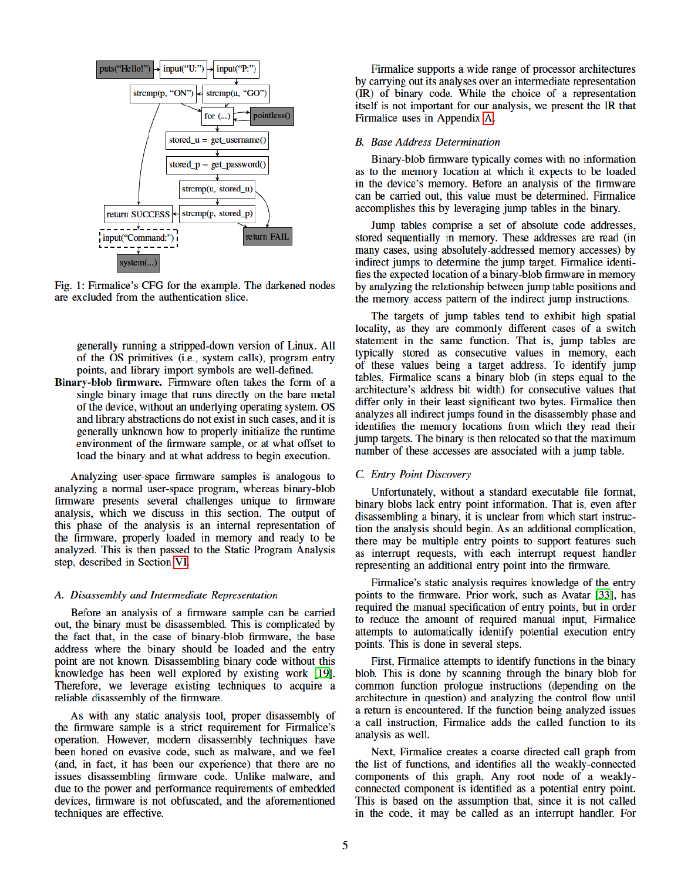

Fig. 1: Firmalice's CFG for the example. The darkened nodes are excluded from the authentication slice.

generally running a stripped-down version of Linux. All of the OS primitives (i.e., system calls), program entry points, and library import symbols are well-defined.

Binary-blob firmware. Firmware often takes the form of a single binary image that runs directly on the bare metal of the device, without an underlying operating system. OS and library abstractions do not exist in such cases, and it is generally unknown how to properly initialize the runtime environment of the firmware sample, or at what offset to load the binary and at what address to begin execution.

Analyzing user-space firmware samples is analogous to analyzing a normal user-space program, whereas binary-blob firmware presents several challenges unique to firmware analysis, which we discuss in this section. The output of this phase of the analysis is an internal representation of the firmware, properly loaded in memory and ready to be analyzed. This is then passed to the Static Program Analysis step, described in Section VI.

## A. Disassembly and Intermediate Representation

Before an analysis of a firmware sample can be carried out, the binary must be disassembled. This is complicated by the fact that, in the case of binary-blob firmware, the base address where the binary should be loaded and the entry point are not known. Disassembling binary code without this knowledge has been well explored by existing work [19]. Therefore, we leverage existing techniques to acquire a reliable disassembly of the firmware.

As with any static analysis tool, proper disassembly of the firmware sample is a strict requirement for Firmalice's operation. However, modern disassembly techniques have been honed on evasive code, such as malware, and we feel (and, in fact, it has been our experience) that there are no issues disassembling firmware code. Unlike malware, and due to the power and performance requirements of embedded devices, firmware is not obfuscated, and the aforementioned techniques are effective.

Firmalice supports a wide range of processor architectures by carrying out its analyses over an intermediate representation (IR) of binary code. While the choice of a representation itself is not important for our analysis, we present the IR that Firmalice uses in Appendix A.

#### **B.** Base Address Determination

Binary-blob firmware typically comes with no information as to the memory location at which it expects to be loaded in the device's memory. Before an analysis of the firmware can be carried out, this value must be determined. Firmalice accomplishes this by leveraging jump tables in the binary.

Jump tables comprise a set of absolute code addresses, stored sequentially in memory. These addresses are read (in many cases, using absolutely-addressed memory accesses) by indirect jumps to determine the jump target. Firmalice identifies the expected location of a binary-blob firmware in memory by analyzing the relationship between jump table positions and the memory access pattern of the indirect jump instructions.

The targets of jump tables tend to exhibit high spatial locality, as they are commonly different cases of a switch statement in the same function. That is, jump tables are typically stored as consecutive values in memory, each of these values being a target address. To identify jump tables, Firmalice scans a binary blob (in steps equal to the architecture's address bit width) for consecutive values that differ only in their least significant two bytes. Firmalice then analyzes all indirect jumps found in the disassembly phase and identifies the memory locations from which they read their jump targets. The binary is then relocated so that the maximum number of these accesses are associated with a jump table.

#### C. Entry Point Discovery

Unfortunately, without a standard executable file format, binary blobs lack entry point information. That is, even after disassembling a binary, it is unclear from which start instruction the analysis should begin. As an additional complication, there may be multiple entry points to support features such as interrupt requests, with each interrupt request handler representing an additional entry point into the firmware.

Firmalice's static analysis requires knowledge of the entry points to the firmware. Prior work, such as Avatar [33], has required the manual specification of entry points, but in order to reduce the amount of required manual input, Firmalice attempts to automatically identify potential execution entry points. This is done in several steps.

First, Firmalice attempts to identify functions in the binary blob. This is done by scanning through the binary blob for common function prologue instructions (depending on the architecture in question) and analyzing the control flow until a return is encountered. If the function being analyzed issues a call instruction, Firmalice adds the called function to its analysis as well.

Next, Firmalice creates a coarse directed call graph from the list of functions, and identifies all the weakly-connected components of this graph. Any root node of a weaklyconnected component is identified as a potential entry point. This is based on the assumption that, since it is not called in the code, it may be called as an interrupt handler. For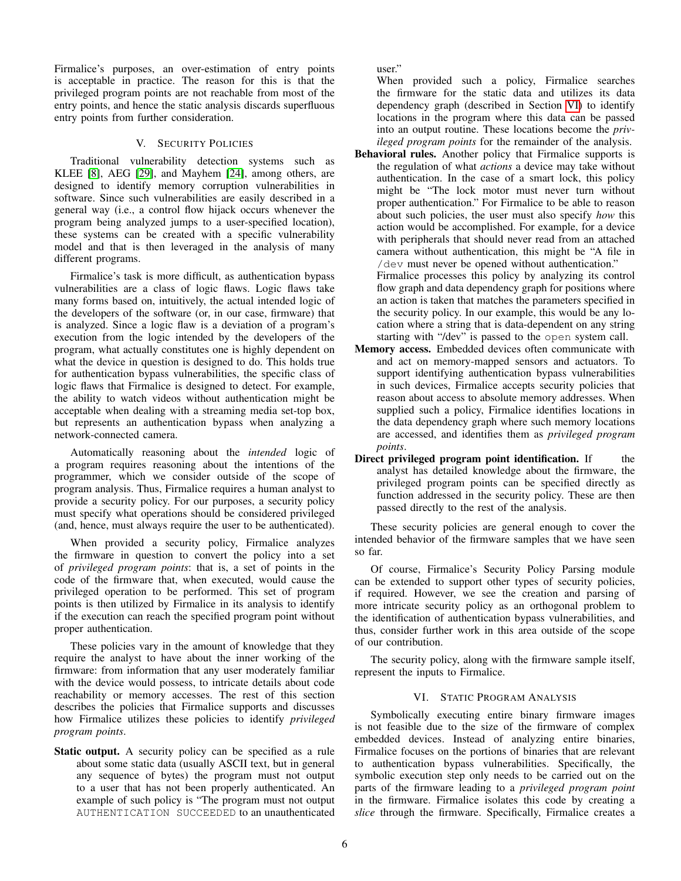Firmalice's purposes, an over-estimation of entry points is acceptable in practice. The reason for this is that the privileged program points are not reachable from most of the entry points, and hence the static analysis discards superfluous entry points from further consideration.

### V. SECURITY POLICIES

Traditional vulnerability detection systems such as KLEE [8], AEG [29], and Mayhem [24], among others, are designed to identify memory corruption vulnerabilities in software. Since such vulnerabilities are easily described in a general way (i.e., a control flow hijack occurs whenever the program being analyzed jumps to a user-specified location), these systems can be created with a specific vulnerability model and that is then leveraged in the analysis of many different programs.

Firmalice's task is more difficult, as authentication bypass vulnerabilities are a class of logic flaws. Logic flaws take many forms based on, intuitively, the actual intended logic of the developers of the software (or, in our case, firmware) that is analyzed. Since a logic flaw is a deviation of a program's execution from the logic intended by the developers of the program, what actually constitutes one is highly dependent on what the device in question is designed to do. This holds true for authentication bypass vulnerabilities, the specific class of logic flaws that Firmalice is designed to detect. For example, the ability to watch videos without authentication might be acceptable when dealing with a streaming media set-top box, but represents an authentication bypass when analyzing a network-connected camera.

Automatically reasoning about the *intended* logic of a program requires reasoning about the intentions of the programmer, which we consider outside of the scope of program analysis. Thus, Firmalice requires a human analyst to provide a security policy. For our purposes, a security policy must specify what operations should be considered privileged (and, hence, must always require the user to be authenticated).

When provided a security policy, Firmalice analyzes the firmware in question to convert the policy into a set of *privileged program points*: that is, a set of points in the code of the firmware that, when executed, would cause the privileged operation to be performed. This set of program points is then utilized by Firmalice in its analysis to identify if the execution can reach the specified program point without proper authentication.

These policies vary in the amount of knowledge that they require the analyst to have about the inner working of the firmware: from information that any user moderately familiar with the device would possess, to intricate details about code reachability or memory accesses. The rest of this section describes the policies that Firmalice supports and discusses how Firmalice utilizes these policies to identify *privileged program points*.

Static output. A security policy can be specified as a rule about some static data (usually ASCII text, but in general any sequence of bytes) the program must not output to a user that has not been properly authenticated. An example of such policy is "The program must not output AUTHENTICATION SUCCEEDED to an unauthenticated user."

When provided such a policy, Firmalice searches the firmware for the static data and utilizes its data dependency graph (described in Section VI) to identify locations in the program where this data can be passed into an output routine. These locations become the *privileged program points* for the remainder of the analysis.

- Behavioral rules. Another policy that Firmalice supports is the regulation of what *actions* a device may take without authentication. In the case of a smart lock, this policy might be "The lock motor must never turn without proper authentication." For Firmalice to be able to reason about such policies, the user must also specify *how* this action would be accomplished. For example, for a device with peripherals that should never read from an attached camera without authentication, this might be "A file in /dev must never be opened without authentication." Firmalice processes this policy by analyzing its control flow graph and data dependency graph for positions where an action is taken that matches the parameters specified in the security policy. In our example, this would be any location where a string that is data-dependent on any string
- starting with "/dev" is passed to the open system call. Memory access. Embedded devices often communicate with and act on memory-mapped sensors and actuators. To support identifying authentication bypass vulnerabilities in such devices, Firmalice accepts security policies that reason about access to absolute memory addresses. When supplied such a policy, Firmalice identifies locations in the data dependency graph where such memory locations are accessed, and identifies them as *privileged program points*.
- Direct privileged program point identification. If the analyst has detailed knowledge about the firmware, the privileged program points can be specified directly as function addressed in the security policy. These are then passed directly to the rest of the analysis.

These security policies are general enough to cover the intended behavior of the firmware samples that we have seen so far.

Of course, Firmalice's Security Policy Parsing module can be extended to support other types of security policies, if required. However, we see the creation and parsing of more intricate security policy as an orthogonal problem to the identification of authentication bypass vulnerabilities, and thus, consider further work in this area outside of the scope of our contribution.

The security policy, along with the firmware sample itself, represent the inputs to Firmalice.

# VI. STATIC PROGRAM ANALYSIS

Symbolically executing entire binary firmware images is not feasible due to the size of the firmware of complex embedded devices. Instead of analyzing entire binaries, Firmalice focuses on the portions of binaries that are relevant to authentication bypass vulnerabilities. Specifically, the symbolic execution step only needs to be carried out on the parts of the firmware leading to a *privileged program point* in the firmware. Firmalice isolates this code by creating a *slice* through the firmware. Specifically, Firmalice creates a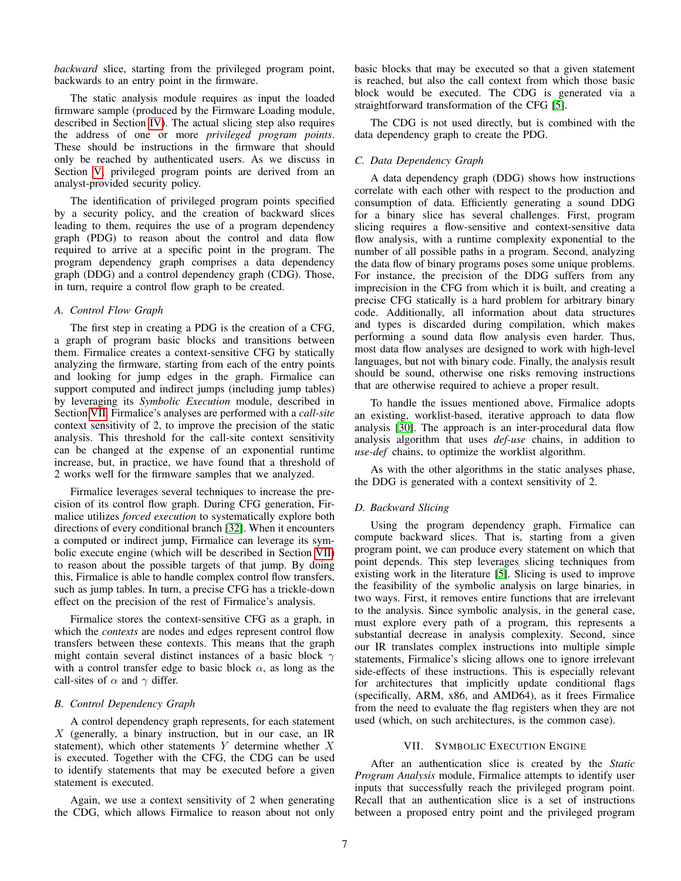*backward* slice, starting from the privileged program point, backwards to an entry point in the firmware.

The static analysis module requires as input the loaded firmware sample (produced by the Firmware Loading module, described in Section IV). The actual slicing step also requires the address of one or more *privileged program points*. These should be instructions in the firmware that should only be reached by authenticated users. As we discuss in Section V, privileged program points are derived from an analyst-provided security policy.

The identification of privileged program points specified by a security policy, and the creation of backward slices leading to them, requires the use of a program dependency graph (PDG) to reason about the control and data flow required to arrive at a specific point in the program. The program dependency graph comprises a data dependency graph (DDG) and a control dependency graph (CDG). Those, in turn, require a control flow graph to be created.

#### *A. Control Flow Graph*

The first step in creating a PDG is the creation of a CFG, a graph of program basic blocks and transitions between them. Firmalice creates a context-sensitive CFG by statically analyzing the firmware, starting from each of the entry points and looking for jump edges in the graph. Firmalice can support computed and indirect jumps (including jump tables) by leveraging its *Symbolic Execution* module, described in Section VII. Firmalice's analyses are performed with a *call-site* context sensitivity of 2, to improve the precision of the static analysis. This threshold for the call-site context sensitivity can be changed at the expense of an exponential runtime increase, but, in practice, we have found that a threshold of 2 works well for the firmware samples that we analyzed.

Firmalice leverages several techniques to increase the precision of its control flow graph. During CFG generation, Firmalice utilizes *forced execution* to systematically explore both directions of every conditional branch [32]. When it encounters a computed or indirect jump, Firmalice can leverage its symbolic execute engine (which will be described in Section VII) to reason about the possible targets of that jump. By doing this, Firmalice is able to handle complex control flow transfers, such as jump tables. In turn, a precise CFG has a trickle-down effect on the precision of the rest of Firmalice's analysis.

Firmalice stores the context-sensitive CFG as a graph, in which the *contexts* are nodes and edges represent control flow transfers between these contexts. This means that the graph might contain several distinct instances of a basic block  $\gamma$ with a control transfer edge to basic block  $\alpha$ , as long as the call-sites of  $\alpha$  and  $\gamma$  differ.

## *B. Control Dependency Graph*

A control dependency graph represents, for each statement  $X$  (generally, a binary instruction, but in our case, an IR statement), which other statements  $Y$  determine whether  $X$ is executed. Together with the CFG, the CDG can be used to identify statements that may be executed before a given statement is executed.

Again, we use a context sensitivity of 2 when generating the CDG, which allows Firmalice to reason about not only basic blocks that may be executed so that a given statement is reached, but also the call context from which those basic block would be executed. The CDG is generated via a straightforward transformation of the CFG [5].

The CDG is not used directly, but is combined with the data dependency graph to create the PDG.

## *C. Data Dependency Graph*

A data dependency graph (DDG) shows how instructions correlate with each other with respect to the production and consumption of data. Efficiently generating a sound DDG for a binary slice has several challenges. First, program slicing requires a flow-sensitive and context-sensitive data flow analysis, with a runtime complexity exponential to the number of all possible paths in a program. Second, analyzing the data flow of binary programs poses some unique problems. For instance, the precision of the DDG suffers from any imprecision in the CFG from which it is built, and creating a precise CFG statically is a hard problem for arbitrary binary code. Additionally, all information about data structures and types is discarded during compilation, which makes performing a sound data flow analysis even harder. Thus, most data flow analyses are designed to work with high-level languages, but not with binary code. Finally, the analysis result should be sound, otherwise one risks removing instructions that are otherwise required to achieve a proper result.

To handle the issues mentioned above, Firmalice adopts an existing, worklist-based, iterative approach to data flow analysis [30]. The approach is an inter-procedural data flow analysis algorithm that uses *def-use* chains, in addition to *use-def* chains, to optimize the worklist algorithm.

As with the other algorithms in the static analyses phase, the DDG is generated with a context sensitivity of 2.

## *D. Backward Slicing*

Using the program dependency graph, Firmalice can compute backward slices. That is, starting from a given program point, we can produce every statement on which that point depends. This step leverages slicing techniques from existing work in the literature [5]. Slicing is used to improve the feasibility of the symbolic analysis on large binaries, in two ways. First, it removes entire functions that are irrelevant to the analysis. Since symbolic analysis, in the general case, must explore every path of a program, this represents a substantial decrease in analysis complexity. Second, since our IR translates complex instructions into multiple simple statements, Firmalice's slicing allows one to ignore irrelevant side-effects of these instructions. This is especially relevant for architectures that implicitly update conditional flags (specifically, ARM, x86, and AMD64), as it frees Firmalice from the need to evaluate the flag registers when they are not used (which, on such architectures, is the common case).

#### VII. SYMBOLIC EXECUTION ENGINE

After an authentication slice is created by the *Static Program Analysis* module, Firmalice attempts to identify user inputs that successfully reach the privileged program point. Recall that an authentication slice is a set of instructions between a proposed entry point and the privileged program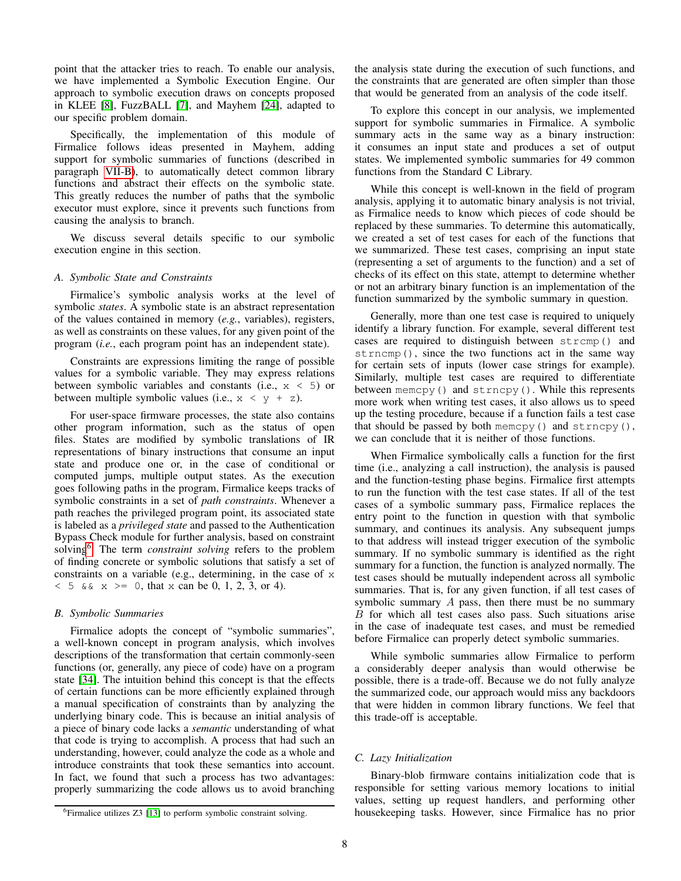point that the attacker tries to reach. To enable our analysis, we have implemented a Symbolic Execution Engine. Our approach to symbolic execution draws on concepts proposed in KLEE [8], FuzzBALL [7], and Mayhem [24], adapted to our specific problem domain.

Specifically, the implementation of this module of Firmalice follows ideas presented in Mayhem, adding support for symbolic summaries of functions (described in paragraph VII-B), to automatically detect common library functions and abstract their effects on the symbolic state. This greatly reduces the number of paths that the symbolic executor must explore, since it prevents such functions from causing the analysis to branch.

We discuss several details specific to our symbolic execution engine in this section.

#### *A. Symbolic State and Constraints*

Firmalice's symbolic analysis works at the level of symbolic *states*. A symbolic state is an abstract representation of the values contained in memory (*e.g.*, variables), registers, as well as constraints on these values, for any given point of the program (*i.e.*, each program point has an independent state).

Constraints are expressions limiting the range of possible values for a symbolic variable. They may express relations between symbolic variables and constants (i.e.,  $x < 5$ ) or between multiple symbolic values (i.e.,  $x \le y + z$ ).

For user-space firmware processes, the state also contains other program information, such as the status of open files. States are modified by symbolic translations of IR representations of binary instructions that consume an input state and produce one or, in the case of conditional or computed jumps, multiple output states. As the execution goes following paths in the program, Firmalice keeps tracks of symbolic constraints in a set of *path constraints*. Whenever a path reaches the privileged program point, its associated state is labeled as a *privileged state* and passed to the Authentication Bypass Check module for further analysis, based on constraint solving<sup>6</sup>. The term *constraint solving* refers to the problem of finding concrete or symbolic solutions that satisfy a set of constraints on a variable (e.g., determining, in the case of x  $< 5 \& x > = 0$ , that x can be 0, 1, 2, 3, or 4).

#### *B. Symbolic Summaries*

Firmalice adopts the concept of "symbolic summaries", a well-known concept in program analysis, which involves descriptions of the transformation that certain commonly-seen functions (or, generally, any piece of code) have on a program state [34]. The intuition behind this concept is that the effects of certain functions can be more efficiently explained through a manual specification of constraints than by analyzing the underlying binary code. This is because an initial analysis of a piece of binary code lacks a *semantic* understanding of what that code is trying to accomplish. A process that had such an understanding, however, could analyze the code as a whole and introduce constraints that took these semantics into account. In fact, we found that such a process has two advantages: properly summarizing the code allows us to avoid branching the analysis state during the execution of such functions, and the constraints that are generated are often simpler than those that would be generated from an analysis of the code itself.

To explore this concept in our analysis, we implemented support for symbolic summaries in Firmalice. A symbolic summary acts in the same way as a binary instruction: it consumes an input state and produces a set of output states. We implemented symbolic summaries for 49 common functions from the Standard C Library.

While this concept is well-known in the field of program analysis, applying it to automatic binary analysis is not trivial, as Firmalice needs to know which pieces of code should be replaced by these summaries. To determine this automatically, we created a set of test cases for each of the functions that we summarized. These test cases, comprising an input state (representing a set of arguments to the function) and a set of checks of its effect on this state, attempt to determine whether or not an arbitrary binary function is an implementation of the function summarized by the symbolic summary in question.

Generally, more than one test case is required to uniquely identify a library function. For example, several different test cases are required to distinguish between strcmp() and strncmp(), since the two functions act in the same way for certain sets of inputs (lower case strings for example). Similarly, multiple test cases are required to differentiate between memcpy() and strncpy(). While this represents more work when writing test cases, it also allows us to speed up the testing procedure, because if a function fails a test case that should be passed by both memcpy() and strncpy(), we can conclude that it is neither of those functions.

When Firmalice symbolically calls a function for the first time (i.e., analyzing a call instruction), the analysis is paused and the function-testing phase begins. Firmalice first attempts to run the function with the test case states. If all of the test cases of a symbolic summary pass, Firmalice replaces the entry point to the function in question with that symbolic summary, and continues its analysis. Any subsequent jumps to that address will instead trigger execution of the symbolic summary. If no symbolic summary is identified as the right summary for a function, the function is analyzed normally. The test cases should be mutually independent across all symbolic summaries. That is, for any given function, if all test cases of symbolic summary A pass, then there must be no summary B for which all test cases also pass. Such situations arise in the case of inadequate test cases, and must be remedied before Firmalice can properly detect symbolic summaries.

While symbolic summaries allow Firmalice to perform a considerably deeper analysis than would otherwise be possible, there is a trade-off. Because we do not fully analyze the summarized code, our approach would miss any backdoors that were hidden in common library functions. We feel that this trade-off is acceptable.

## *C. Lazy Initialization*

Binary-blob firmware contains initialization code that is responsible for setting various memory locations to initial values, setting up request handlers, and performing other housekeeping tasks. However, since Firmalice has no prior

<sup>&</sup>lt;sup>6</sup>Firmalice utilizes Z3 [13] to perform symbolic constraint solving.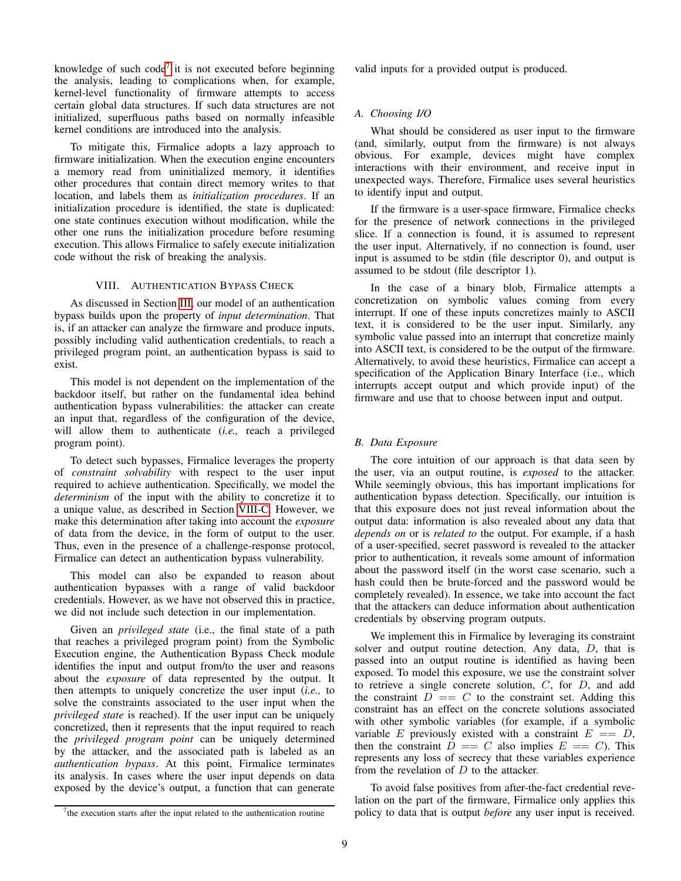knowledge of such code<sup>7</sup> it is not executed before beginning the analysis, leading to complications when, for example, kernel-level functionality of firmware attempts to access certain global data structures. If such data structures are not initialized, superfluous paths based on normally infeasible kernel conditions are introduced into the analysis.

To mitigate this, Firmalice adopts a lazy approach to firmware initialization. When the execution engine encounters a memory read from uninitialized memory, it identifies other procedures that contain direct memory writes to that location, and labels them as *initialization procedures*. If an initialization procedure is identified, the state is duplicated: one state continues execution without modification, while the other one runs the initialization procedure before resuming execution. This allows Firmalice to safely execute initialization code without the risk of breaking the analysis.

# VIII. AUTHENTICATION BYPASS CHECK

As discussed in Section III, our model of an authentication bypass builds upon the property of *input determination*. That is, if an attacker can analyze the firmware and produce inputs, possibly including valid authentication credentials, to reach a privileged program point, an authentication bypass is said to exist.

This model is not dependent on the implementation of the backdoor itself, but rather on the fundamental idea behind authentication bypass vulnerabilities: the attacker can create an input that, regardless of the configuration of the device, will allow them to authenticate (*i.e.,* reach a privileged program point).

To detect such bypasses, Firmalice leverages the property of *constraint solvability* with respect to the user input required to achieve authentication. Specifically, we model the *determinism* of the input with the ability to concretize it to a unique value, as described in Section VIII-C. However, we make this determination after taking into account the *exposure* of data from the device, in the form of output to the user. Thus, even in the presence of a challenge-response protocol, Firmalice can detect an authentication bypass vulnerability.

This model can also be expanded to reason about authentication bypasses with a range of valid backdoor credentials. However, as we have not observed this in practice, we did not include such detection in our implementation.

Given an *privileged state* (i.e., the final state of a path that reaches a privileged program point) from the Symbolic Execution engine, the Authentication Bypass Check module identifies the input and output from/to the user and reasons about the *exposure* of data represented by the output. It then attempts to uniquely concretize the user input (*i.e.,* to solve the constraints associated to the user input when the *privileged state* is reached). If the user input can be uniquely concretized, then it represents that the input required to reach the *privileged program point* can be uniquely determined by the attacker, and the associated path is labeled as an *authentication bypass*. At this point, Firmalice terminates its analysis. In cases where the user input depends on data exposed by the device's output, a function that can generate valid inputs for a provided output is produced.

# *A. Choosing I/O*

What should be considered as user input to the firmware (and, similarly, output from the firmware) is not always obvious. For example, devices might have complex interactions with their environment, and receive input in unexpected ways. Therefore, Firmalice uses several heuristics to identify input and output.

If the firmware is a user-space firmware, Firmalice checks for the presence of network connections in the privileged slice. If a connection is found, it is assumed to represent the user input. Alternatively, if no connection is found, user input is assumed to be stdin (file descriptor 0), and output is assumed to be stdout (file descriptor 1).

In the case of a binary blob, Firmalice attempts a concretization on symbolic values coming from every interrupt. If one of these inputs concretizes mainly to ASCII text, it is considered to be the user input. Similarly, any symbolic value passed into an interrupt that concretize mainly into ASCII text, is considered to be the output of the firmware. Alternatively, to avoid these heuristics, Firmalice can accept a specification of the Application Binary Interface (i.e., which interrupts accept output and which provide input) of the firmware and use that to choose between input and output.

# *B. Data Exposure*

The core intuition of our approach is that data seen by the user, via an output routine, is *exposed* to the attacker. While seemingly obvious, this has important implications for authentication bypass detection. Specifically, our intuition is that this exposure does not just reveal information about the output data: information is also revealed about any data that *depends on* or is *related to* the output. For example, if a hash of a user-specified, secret password is revealed to the attacker prior to authentication, it reveals some amount of information about the password itself (in the worst case scenario, such a hash could then be brute-forced and the password would be completely revealed). In essence, we take into account the fact that the attackers can deduce information about authentication credentials by observing program outputs.

We implement this in Firmalice by leveraging its constraint solver and output routine detection. Any data, D, that is passed into an output routine is identified as having been exposed. To model this exposure, we use the constraint solver to retrieve a single concrete solution, C, for D, and add the constraint  $D = C$  to the constraint set. Adding this constraint has an effect on the concrete solutions associated with other symbolic variables (for example, if a symbolic variable E previously existed with a constraint  $E = D$ , then the constraint  $\dot{D} == C$  also implies  $E == C$ ). This represents any loss of secrecy that these variables experience from the revelation of  $D$  to the attacker.

To avoid false positives from after-the-fact credential revelation on the part of the firmware, Firmalice only applies this policy to data that is output *before* any user input is received.

<sup>&</sup>lt;sup>7</sup>the execution starts after the input related to the authentication routine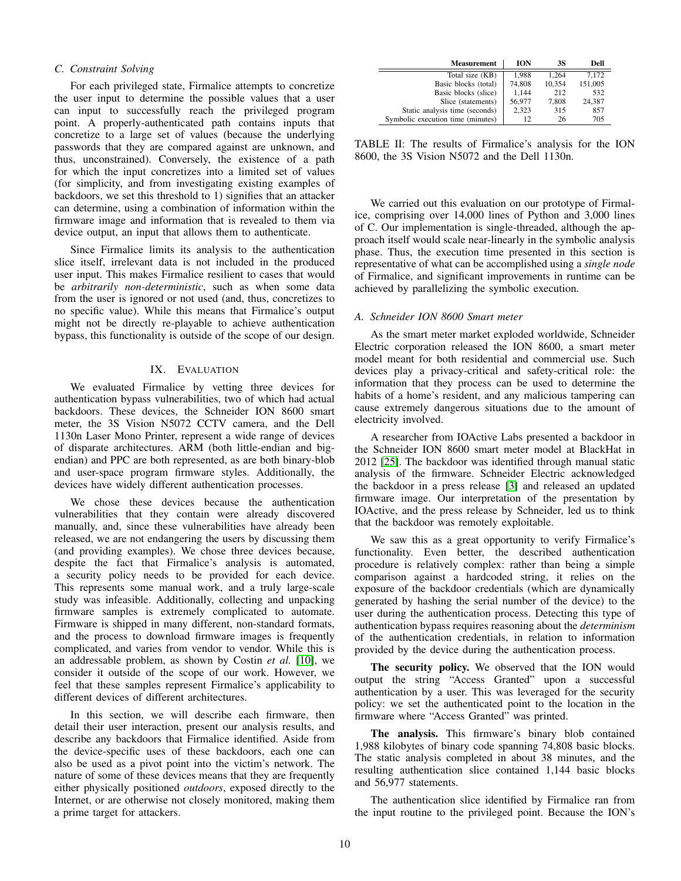#### *C. Constraint Solving*

For each privileged state, Firmalice attempts to concretize the user input to determine the possible values that a user can input to successfully reach the privileged program point. A properly-authenticated path contains inputs that concretize to a large set of values (because the underlying passwords that they are compared against are unknown, and thus, unconstrained). Conversely, the existence of a path for which the input concretizes into a limited set of values (for simplicity, and from investigating existing examples of backdoors, we set this threshold to 1) signifies that an attacker can determine, using a combination of information within the firmware image and information that is revealed to them via device output, an input that allows them to authenticate.

Since Firmalice limits its analysis to the authentication slice itself, irrelevant data is not included in the produced user input. This makes Firmalice resilient to cases that would be *arbitrarily non-deterministic*, such as when some data from the user is ignored or not used (and, thus, concretizes to no specific value). While this means that Firmalice's output might not be directly re-playable to achieve authentication bypass, this functionality is outside of the scope of our design.

# IX. EVALUATION

We evaluated Firmalice by vetting three devices for authentication bypass vulnerabilities, two of which had actual backdoors. These devices, the Schneider ION 8600 smart meter, the 3S Vision N5072 CCTV camera, and the Dell 1130n Laser Mono Printer, represent a wide range of devices of disparate architectures. ARM (both little-endian and bigendian) and PPC are both represented, as are both binary-blob and user-space program firmware styles. Additionally, the devices have widely different authentication processes.

We chose these devices because the authentication vulnerabilities that they contain were already discovered manually, and, since these vulnerabilities have already been released, we are not endangering the users by discussing them (and providing examples). We chose three devices because, despite the fact that Firmalice's analysis is automated, a security policy needs to be provided for each device. This represents some manual work, and a truly large-scale study was infeasible. Additionally, collecting and unpacking firmware samples is extremely complicated to automate. Firmware is shipped in many different, non-standard formats, and the process to download firmware images is frequently complicated, and varies from vendor to vendor. While this is an addressable problem, as shown by Costin *et al.* [10], we consider it outside of the scope of our work. However, we feel that these samples represent Firmalice's applicability to different devices of different architectures.

In this section, we will describe each firmware, then detail their user interaction, present our analysis results, and describe any backdoors that Firmalice identified. Aside from the device-specific uses of these backdoors, each one can also be used as a pivot point into the victim's network. The nature of some of these devices means that they are frequently either physically positioned *outdoors*, exposed directly to the Internet, or are otherwise not closely monitored, making them a prime target for attackers.

| <b>Measurement</b>                | <b>ION</b> | 3S     | <b>Dell</b> |
|-----------------------------------|------------|--------|-------------|
| Total size (KB)                   | 1.988      | 1.264  | 7.172       |
| Basic blocks (total)              | 74.808     | 10,354 | 151,005     |
| Basic blocks (slice)              | 1.144      | 212    | 532         |
| Slice (statements)                | 56,977     | 7,808  | 24,387      |
| Static analysis time (seconds)    | 2.323      | 315    | 857         |
| Symbolic execution time (minutes) | 12         | 26     | 705         |

TABLE II: The results of Firmalice's analysis for the ION 8600, the 3S Vision N5072 and the Dell 1130n.

We carried out this evaluation on our prototype of Firmalice, comprising over 14,000 lines of Python and 3,000 lines of C. Our implementation is single-threaded, although the approach itself would scale near-linearly in the symbolic analysis phase. Thus, the execution time presented in this section is representative of what can be accomplished using a *single node* of Firmalice, and significant improvements in runtime can be achieved by parallelizing the symbolic execution.

# *A. Schneider ION 8600 Smart meter*

As the smart meter market exploded worldwide, Schneider Electric corporation released the ION 8600, a smart meter model meant for both residential and commercial use. Such devices play a privacy-critical and safety-critical role: the information that they process can be used to determine the habits of a home's resident, and any malicious tampering can cause extremely dangerous situations due to the amount of electricity involved.

A researcher from IOActive Labs presented a backdoor in the Schneider ION 8600 smart meter model at BlackHat in 2012 [25]. The backdoor was identified through manual static analysis of the firmware. Schneider Electric acknowledged the backdoor in a press release [3] and released an updated firmware image. Our interpretation of the presentation by IOActive, and the press release by Schneider, led us to think that the backdoor was remotely exploitable.

We saw this as a great opportunity to verify Firmalice's functionality. Even better, the described authentication procedure is relatively complex: rather than being a simple comparison against a hardcoded string, it relies on the exposure of the backdoor credentials (which are dynamically generated by hashing the serial number of the device) to the user during the authentication process. Detecting this type of authentication bypass requires reasoning about the *determinism* of the authentication credentials, in relation to information provided by the device during the authentication process.

The security policy. We observed that the ION would output the string "Access Granted" upon a successful authentication by a user. This was leveraged for the security policy: we set the authenticated point to the location in the firmware where "Access Granted" was printed.

The analysis. This firmware's binary blob contained 1,988 kilobytes of binary code spanning 74,808 basic blocks. The static analysis completed in about 38 minutes, and the resulting authentication slice contained 1,144 basic blocks and 56,977 statements.

The authentication slice identified by Firmalice ran from the input routine to the privileged point. Because the ION's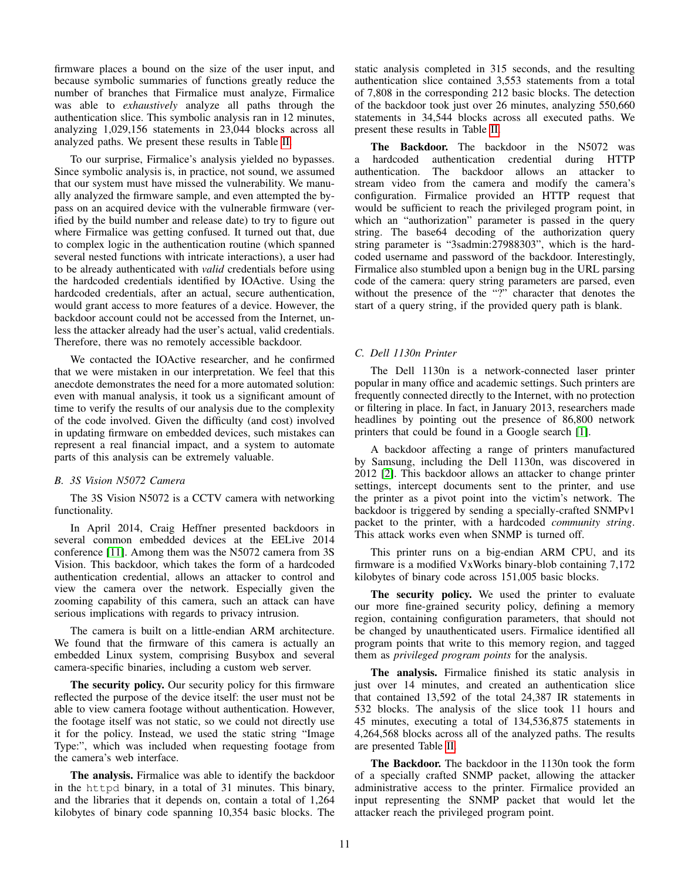firmware places a bound on the size of the user input, and because symbolic summaries of functions greatly reduce the number of branches that Firmalice must analyze, Firmalice was able to *exhaustively* analyze all paths through the authentication slice. This symbolic analysis ran in 12 minutes, analyzing 1,029,156 statements in 23,044 blocks across all analyzed paths. We present these results in Table II.

To our surprise, Firmalice's analysis yielded no bypasses. Since symbolic analysis is, in practice, not sound, we assumed that our system must have missed the vulnerability. We manually analyzed the firmware sample, and even attempted the bypass on an acquired device with the vulnerable firmware (verified by the build number and release date) to try to figure out where Firmalice was getting confused. It turned out that, due to complex logic in the authentication routine (which spanned several nested functions with intricate interactions), a user had to be already authenticated with *valid* credentials before using the hardcoded credentials identified by IOActive. Using the hardcoded credentials, after an actual, secure authentication, would grant access to more features of a device. However, the backdoor account could not be accessed from the Internet, unless the attacker already had the user's actual, valid credentials. Therefore, there was no remotely accessible backdoor.

We contacted the IOActive researcher, and he confirmed that we were mistaken in our interpretation. We feel that this anecdote demonstrates the need for a more automated solution: even with manual analysis, it took us a significant amount of time to verify the results of our analysis due to the complexity of the code involved. Given the difficulty (and cost) involved in updating firmware on embedded devices, such mistakes can represent a real financial impact, and a system to automate parts of this analysis can be extremely valuable.

#### *B. 3S Vision N5072 Camera*

The 3S Vision N5072 is a CCTV camera with networking functionality.

In April 2014, Craig Heffner presented backdoors in several common embedded devices at the EELive 2014 conference [11]. Among them was the N5072 camera from 3S Vision. This backdoor, which takes the form of a hardcoded authentication credential, allows an attacker to control and view the camera over the network. Especially given the zooming capability of this camera, such an attack can have serious implications with regards to privacy intrusion.

The camera is built on a little-endian ARM architecture. We found that the firmware of this camera is actually an embedded Linux system, comprising Busybox and several camera-specific binaries, including a custom web server.

The security policy. Our security policy for this firmware reflected the purpose of the device itself: the user must not be able to view camera footage without authentication. However, the footage itself was not static, so we could not directly use it for the policy. Instead, we used the static string "Image Type:", which was included when requesting footage from the camera's web interface.

The analysis. Firmalice was able to identify the backdoor in the httpd binary, in a total of 31 minutes. This binary, and the libraries that it depends on, contain a total of 1,264 kilobytes of binary code spanning 10,354 basic blocks. The static analysis completed in 315 seconds, and the resulting authentication slice contained 3,553 statements from a total of 7,808 in the corresponding 212 basic blocks. The detection of the backdoor took just over 26 minutes, analyzing 550,660 statements in 34,544 blocks across all executed paths. We present these results in Table II.

The Backdoor. The backdoor in the N5072 was a hardcoded authentication credential during HTTP authentication. The backdoor allows an attacker to stream video from the camera and modify the camera's configuration. Firmalice provided an HTTP request that would be sufficient to reach the privileged program point, in which an "authorization" parameter is passed in the query string. The base64 decoding of the authorization query string parameter is "3sadmin:27988303", which is the hardcoded username and password of the backdoor. Interestingly, Firmalice also stumbled upon a benign bug in the URL parsing code of the camera: query string parameters are parsed, even without the presence of the "?" character that denotes the start of a query string, if the provided query path is blank.

#### *C. Dell 1130n Printer*

The Dell 1130n is a network-connected laser printer popular in many office and academic settings. Such printers are frequently connected directly to the Internet, with no protection or filtering in place. In fact, in January 2013, researchers made headlines by pointing out the presence of 86,800 network printers that could be found in a Google search [1].

A backdoor affecting a range of printers manufactured by Samsung, including the Dell 1130n, was discovered in 2012 [2]. This backdoor allows an attacker to change printer settings, intercept documents sent to the printer, and use the printer as a pivot point into the victim's network. The backdoor is triggered by sending a specially-crafted SNMPv1 packet to the printer, with a hardcoded *community string*. This attack works even when SNMP is turned off.

This printer runs on a big-endian ARM CPU, and its firmware is a modified VxWorks binary-blob containing 7,172 kilobytes of binary code across 151,005 basic blocks.

The security policy. We used the printer to evaluate our more fine-grained security policy, defining a memory region, containing configuration parameters, that should not be changed by unauthenticated users. Firmalice identified all program points that write to this memory region, and tagged them as *privileged program points* for the analysis.

The analysis. Firmalice finished its static analysis in just over 14 minutes, and created an authentication slice that contained 13,592 of the total 24,387 IR statements in 532 blocks. The analysis of the slice took 11 hours and 45 minutes, executing a total of 134,536,875 statements in 4,264,568 blocks across all of the analyzed paths. The results are presented Table II.

The Backdoor. The backdoor in the 1130n took the form of a specially crafted SNMP packet, allowing the attacker administrative access to the printer. Firmalice provided an input representing the SNMP packet that would let the attacker reach the privileged program point.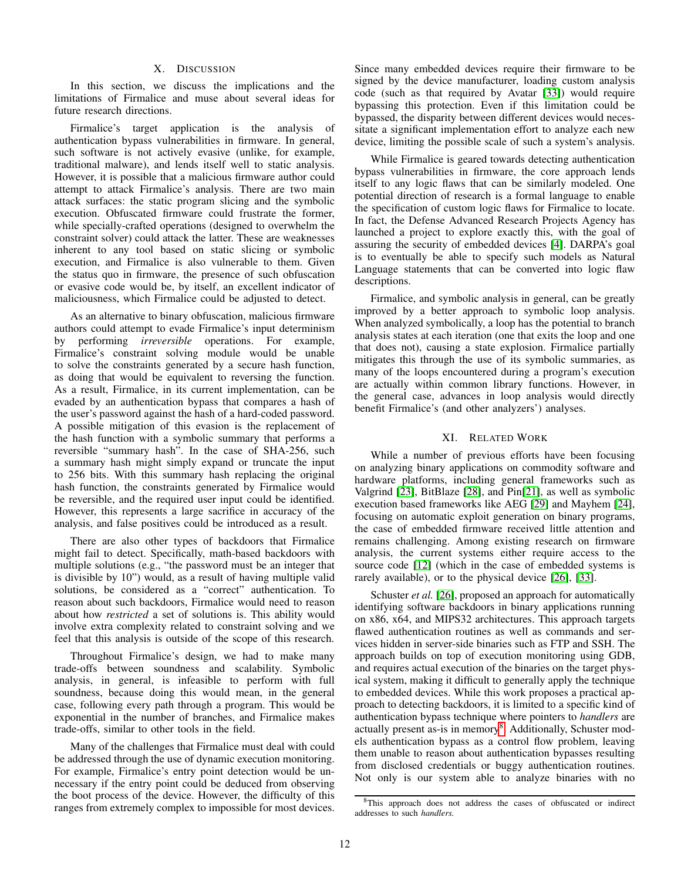#### X. DISCUSSION

In this section, we discuss the implications and the limitations of Firmalice and muse about several ideas for future research directions.

Firmalice's target application is the analysis of authentication bypass vulnerabilities in firmware. In general, such software is not actively evasive (unlike, for example, traditional malware), and lends itself well to static analysis. However, it is possible that a malicious firmware author could attempt to attack Firmalice's analysis. There are two main attack surfaces: the static program slicing and the symbolic execution. Obfuscated firmware could frustrate the former, while specially-crafted operations (designed to overwhelm the constraint solver) could attack the latter. These are weaknesses inherent to any tool based on static slicing or symbolic execution, and Firmalice is also vulnerable to them. Given the status quo in firmware, the presence of such obfuscation or evasive code would be, by itself, an excellent indicator of maliciousness, which Firmalice could be adjusted to detect.

As an alternative to binary obfuscation, malicious firmware authors could attempt to evade Firmalice's input determinism by performing *irreversible* operations. For example, Firmalice's constraint solving module would be unable to solve the constraints generated by a secure hash function, as doing that would be equivalent to reversing the function. As a result, Firmalice, in its current implementation, can be evaded by an authentication bypass that compares a hash of the user's password against the hash of a hard-coded password. A possible mitigation of this evasion is the replacement of the hash function with a symbolic summary that performs a reversible "summary hash". In the case of SHA-256, such a summary hash might simply expand or truncate the input to 256 bits. With this summary hash replacing the original hash function, the constraints generated by Firmalice would be reversible, and the required user input could be identified. However, this represents a large sacrifice in accuracy of the analysis, and false positives could be introduced as a result.

There are also other types of backdoors that Firmalice might fail to detect. Specifically, math-based backdoors with multiple solutions (e.g., "the password must be an integer that is divisible by 10") would, as a result of having multiple valid solutions, be considered as a "correct" authentication. To reason about such backdoors, Firmalice would need to reason about how *restricted* a set of solutions is. This ability would involve extra complexity related to constraint solving and we feel that this analysis is outside of the scope of this research.

Throughout Firmalice's design, we had to make many trade-offs between soundness and scalability. Symbolic analysis, in general, is infeasible to perform with full soundness, because doing this would mean, in the general case, following every path through a program. This would be exponential in the number of branches, and Firmalice makes trade-offs, similar to other tools in the field.

Many of the challenges that Firmalice must deal with could be addressed through the use of dynamic execution monitoring. For example, Firmalice's entry point detection would be unnecessary if the entry point could be deduced from observing the boot process of the device. However, the difficulty of this ranges from extremely complex to impossible for most devices. Since many embedded devices require their firmware to be signed by the device manufacturer, loading custom analysis code (such as that required by Avatar [33]) would require bypassing this protection. Even if this limitation could be bypassed, the disparity between different devices would necessitate a significant implementation effort to analyze each new device, limiting the possible scale of such a system's analysis.

While Firmalice is geared towards detecting authentication bypass vulnerabilities in firmware, the core approach lends itself to any logic flaws that can be similarly modeled. One potential direction of research is a formal language to enable the specification of custom logic flaws for Firmalice to locate. In fact, the Defense Advanced Research Projects Agency has launched a project to explore exactly this, with the goal of assuring the security of embedded devices [4]. DARPA's goal is to eventually be able to specify such models as Natural Language statements that can be converted into logic flaw descriptions.

Firmalice, and symbolic analysis in general, can be greatly improved by a better approach to symbolic loop analysis. When analyzed symbolically, a loop has the potential to branch analysis states at each iteration (one that exits the loop and one that does not), causing a state explosion. Firmalice partially mitigates this through the use of its symbolic summaries, as many of the loops encountered during a program's execution are actually within common library functions. However, in the general case, advances in loop analysis would directly benefit Firmalice's (and other analyzers') analyses.

### XI. RELATED WORK

While a number of previous efforts have been focusing on analyzing binary applications on commodity software and hardware platforms, including general frameworks such as Valgrind [23], BitBlaze [28], and Pin[21], as well as symbolic execution based frameworks like AEG [29] and Mayhem [24], focusing on automatic exploit generation on binary programs, the case of embedded firmware received little attention and remains challenging. Among existing research on firmware analysis, the current systems either require access to the source code [12] (which in the case of embedded systems is rarely available), or to the physical device [26], [33].

Schuster *et al.* [26], proposed an approach for automatically identifying software backdoors in binary applications running on x86, x64, and MIPS32 architectures. This approach targets flawed authentication routines as well as commands and services hidden in server-side binaries such as FTP and SSH. The approach builds on top of execution monitoring using GDB, and requires actual execution of the binaries on the target physical system, making it difficult to generally apply the technique to embedded devices. While this work proposes a practical approach to detecting backdoors, it is limited to a specific kind of authentication bypass technique where pointers to *handlers* are actually present as-is in memory<sup>8</sup>. Additionally, Schuster models authentication bypass as a control flow problem, leaving them unable to reason about authentication bypasses resulting from disclosed credentials or buggy authentication routines. Not only is our system able to analyze binaries with no

<sup>8</sup>This approach does not address the cases of obfuscated or indirect addresses to such *handlers.*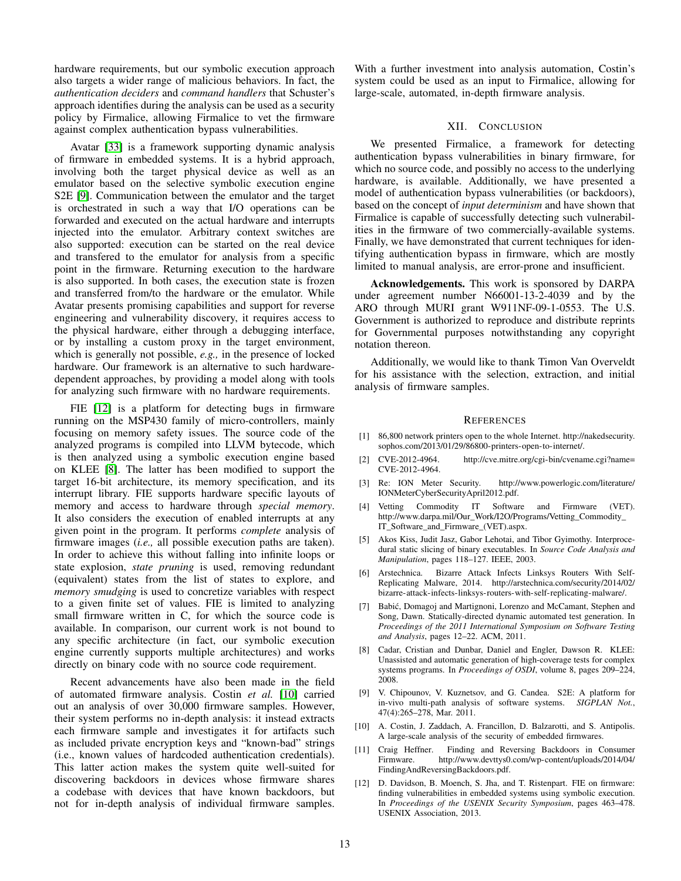hardware requirements, but our symbolic execution approach also targets a wider range of malicious behaviors. In fact, the *authentication deciders* and *command handlers* that Schuster's approach identifies during the analysis can be used as a security policy by Firmalice, allowing Firmalice to vet the firmware against complex authentication bypass vulnerabilities.

Avatar [33] is a framework supporting dynamic analysis of firmware in embedded systems. It is a hybrid approach, involving both the target physical device as well as an emulator based on the selective symbolic execution engine S2E [9]. Communication between the emulator and the target is orchestrated in such a way that I/O operations can be forwarded and executed on the actual hardware and interrupts injected into the emulator. Arbitrary context switches are also supported: execution can be started on the real device and transfered to the emulator for analysis from a specific point in the firmware. Returning execution to the hardware is also supported. In both cases, the execution state is frozen and transferred from/to the hardware or the emulator. While Avatar presents promising capabilities and support for reverse engineering and vulnerability discovery, it requires access to the physical hardware, either through a debugging interface, or by installing a custom proxy in the target environment, which is generally not possible, *e.g.,* in the presence of locked hardware. Our framework is an alternative to such hardwaredependent approaches, by providing a model along with tools for analyzing such firmware with no hardware requirements.

FIE [12] is a platform for detecting bugs in firmware running on the MSP430 family of micro-controllers, mainly focusing on memory safety issues. The source code of the analyzed programs is compiled into LLVM bytecode, which is then analyzed using a symbolic execution engine based on KLEE [8]. The latter has been modified to support the target 16-bit architecture, its memory specification, and its interrupt library. FIE supports hardware specific layouts of memory and access to hardware through *special memory*. It also considers the execution of enabled interrupts at any given point in the program. It performs *complete* analysis of firmware images (*i.e.,* all possible execution paths are taken). In order to achieve this without falling into infinite loops or state explosion, *state pruning* is used, removing redundant (equivalent) states from the list of states to explore, and *memory smudging* is used to concretize variables with respect to a given finite set of values. FIE is limited to analyzing small firmware written in C, for which the source code is available. In comparison, our current work is not bound to any specific architecture (in fact, our symbolic execution engine currently supports multiple architectures) and works directly on binary code with no source code requirement.

Recent advancements have also been made in the field of automated firmware analysis. Costin *et al.* [10] carried out an analysis of over 30,000 firmware samples. However, their system performs no in-depth analysis: it instead extracts each firmware sample and investigates it for artifacts such as included private encryption keys and "known-bad" strings (i.e., known values of hardcoded authentication credentials). This latter action makes the system quite well-suited for discovering backdoors in devices whose firmware shares a codebase with devices that have known backdoors, but not for in-depth analysis of individual firmware samples.

With a further investment into analysis automation, Costin's system could be used as an input to Firmalice, allowing for large-scale, automated, in-depth firmware analysis.

## XII. CONCLUSION

We presented Firmalice, a framework for detecting authentication bypass vulnerabilities in binary firmware, for which no source code, and possibly no access to the underlying hardware, is available. Additionally, we have presented a model of authentication bypass vulnerabilities (or backdoors), based on the concept of *input determinism* and have shown that Firmalice is capable of successfully detecting such vulnerabilities in the firmware of two commercially-available systems. Finally, we have demonstrated that current techniques for identifying authentication bypass in firmware, which are mostly limited to manual analysis, are error-prone and insufficient.

Acknowledgements. This work is sponsored by DARPA under agreement number N66001-13-2-4039 and by the ARO through MURI grant W911NF-09-1-0553. The U.S. Government is authorized to reproduce and distribute reprints for Governmental purposes notwithstanding any copyright notation thereon.

Additionally, we would like to thank Timon Van Overveldt for his assistance with the selection, extraction, and initial analysis of firmware samples.

#### **REFERENCES**

- [1] 86,800 network printers open to the whole Internet. http://nakedsecurity. sophos.com/2013/01/29/86800-printers-open-to-internet/.
- [2] CVE-2012-4964. http://cve.mitre.org/cgi-bin/cvename.cgi?name= CVE-2012-4964.
- [3] Re: ION Meter Security. http://www.powerlogic.com/literature/ IONMeterCyberSecurityApril2012.pdf.
- [4] Vetting Commodity IT Software and Firmware (VET). http://www.darpa.mil/Our\_Work/I2O/Programs/Vetting\_Commodity\_ IT\_Software\_and\_Firmware\_(VET).aspx.
- [5] Akos Kiss, Judit Jasz, Gabor Lehotai, and Tibor Gyimothy. Interprocedural static slicing of binary executables. In *Source Code Analysis and Manipulation*, pages 118–127. IEEE, 2003.
- Arstechnica. Bizarre Attack Infects Linksys Routers With Self-Replicating Malware, 2014. http://arstechnica.com/security/2014/02/ bizarre-attack-infects-linksys-routers-with-self-replicating-malware/.
- [7] Babić, Domagoj and Martignoni, Lorenzo and McCamant, Stephen and Song, Dawn. Statically-directed dynamic automated test generation. In *Proceedings of the 2011 International Symposium on Software Testing and Analysis*, pages 12–22. ACM, 2011.
- [8] Cadar, Cristian and Dunbar, Daniel and Engler, Dawson R. KLEE: Unassisted and automatic generation of high-coverage tests for complex systems programs. In *Proceedings of OSDI*, volume 8, pages 209–224, 2008.
- [9] V. Chipounov, V. Kuznetsov, and G. Candea. S2E: A platform for in-vivo multi-path analysis of software systems. *SIGPLAN Not.*, 47(4):265–278, Mar. 2011.
- [10] A. Costin, J. Zaddach, A. Francillon, D. Balzarotti, and S. Antipolis. A large-scale analysis of the security of embedded firmwares.
- [11] Craig Heffner. Finding and Reversing Backdoors in Consumer Firmware. http://www.devttys0.com/wp-content/uploads/2014/04/ FindingAndReversingBackdoors.pdf.
- [12] D. Davidson, B. Moench, S. Jha, and T. Ristenpart. FIE on firmware: finding vulnerabilities in embedded systems using symbolic execution. In *Proceedings of the USENIX Security Symposium*, pages 463–478. USENIX Association, 2013.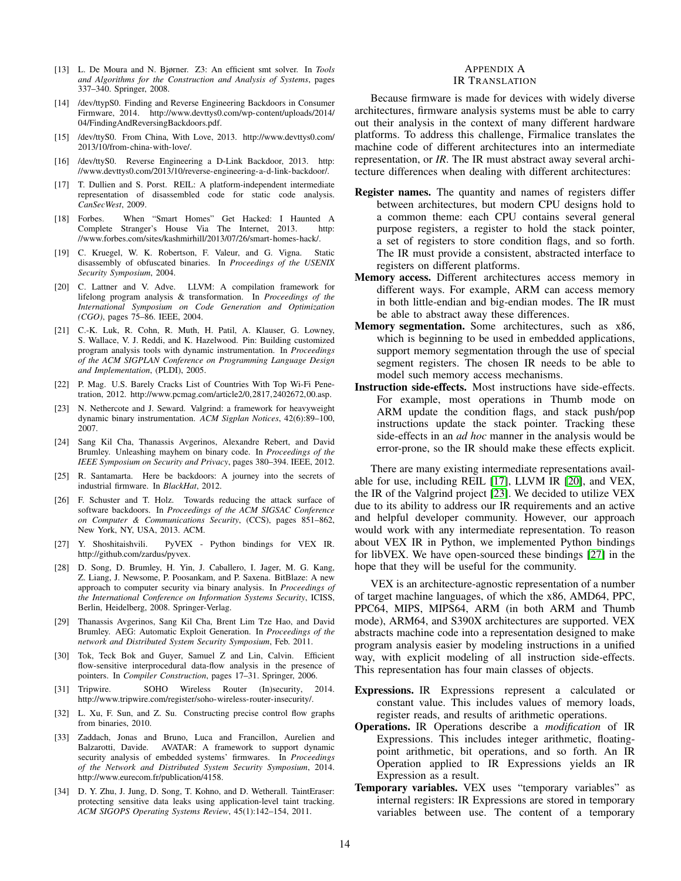- [13] L. De Moura and N. Bjørner. Z3: An efficient smt solver. In *Tools and Algorithms for the Construction and Analysis of Systems*, pages 337–340. Springer, 2008.
- [14] /dev/ttypS0. Finding and Reverse Engineering Backdoors in Consumer Firmware, 2014. http://www.devttys0.com/wp-content/uploads/2014/ 04/FindingAndReversingBackdoors.pdf.
- [15] /dev/ttyS0. From China, With Love, 2013. http://www.devttys0.com/ 2013/10/from-china-with-love/.
- [16] /dev/ttyS0. Reverse Engineering a D-Link Backdoor, 2013. http: //www.devttys0.com/2013/10/reverse-engineering-a-d-link-backdoor/.
- [17] T. Dullien and S. Porst. REIL: A platform-independent intermediate representation of disassembled code for static code analysis. *CanSecWest*, 2009.
- [18] Forbes. When "Smart Homes" Get Hacked: I Haunted A Complete Stranger's House Via The Internet, 2013. //www.forbes.com/sites/kashmirhill/2013/07/26/smart-homes-hack/.
- [19] C. Kruegel, W. K. Robertson, F. Valeur, and G. Vigna. Static disassembly of obfuscated binaries. In *Proceedings of the USENIX Security Symposium*, 2004.
- [20] C. Lattner and V. Adve. LLVM: A compilation framework for lifelong program analysis & transformation. In *Proceedings of the International Symposium on Code Generation and Optimization (CGO)*, pages 75–86. IEEE, 2004.
- [21] C.-K. Luk, R. Cohn, R. Muth, H. Patil, A. Klauser, G. Lowney, S. Wallace, V. J. Reddi, and K. Hazelwood. Pin: Building customized program analysis tools with dynamic instrumentation. In *Proceedings of the ACM SIGPLAN Conference on Programming Language Design and Implementation*, (PLDI), 2005.
- [22] P. Mag. U.S. Barely Cracks List of Countries With Top Wi-Fi Penetration, 2012. http://www.pcmag.com/article2/0,2817,2402672,00.asp.
- [23] N. Nethercote and J. Seward. Valgrind: a framework for heavyweight dynamic binary instrumentation. *ACM Sigplan Notices*, 42(6):89–100, 2007.
- [24] Sang Kil Cha, Thanassis Avgerinos, Alexandre Rebert, and David Brumley. Unleashing mayhem on binary code. In *Proceedings of the IEEE Symposium on Security and Privacy*, pages 380–394. IEEE, 2012.
- [25] R. Santamarta. Here be backdoors: A journey into the secrets of industrial firmware. In *BlackHat*, 2012.
- [26] F. Schuster and T. Holz. Towards reducing the attack surface of software backdoors. In *Proceedings of the ACM SIGSAC Conference on Computer & Communications Security*, (CCS), pages 851–862, New York, NY, USA, 2013. ACM.
- [27] Y. Shoshitaishvili. PyVEX Python bindings for VEX IR. http://github.com/zardus/pyvex.
- [28] D. Song, D. Brumley, H. Yin, J. Caballero, I. Jager, M. G. Kang, Z. Liang, J. Newsome, P. Poosankam, and P. Saxena. BitBlaze: A new approach to computer security via binary analysis. In *Proceedings of the International Conference on Information Systems Security*, ICISS, Berlin, Heidelberg, 2008. Springer-Verlag.
- [29] Thanassis Avgerinos, Sang Kil Cha, Brent Lim Tze Hao, and David Brumley. AEG: Automatic Exploit Generation. In *Proceedings of the network and Distributed System Security Symposium*, Feb. 2011.
- [30] Tok, Teck Bok and Guyer, Samuel Z and Lin, Calvin. Efficient flow-sensitive interprocedural data-flow analysis in the presence of pointers. In *Compiler Construction*, pages 17–31. Springer, 2006.
- [31] Tripwire. SOHO Wireless Router (In)security, 2014. http://www.tripwire.com/register/soho-wireless-router-insecurity/.
- [32] L. Xu, F. Sun, and Z. Su. Constructing precise control flow graphs from binaries, 2010.
- [33] Zaddach, Jonas and Bruno, Luca and Francillon, Aurelien and Balzarotti, Davide. AVATAR: A framework to support dynamic security analysis of embedded systems' firmwares. In *Proceedings of the Network and Distributed System Security Symposium*, 2014. http://www.eurecom.fr/publication/4158.
- [34] D. Y. Zhu, J. Jung, D. Song, T. Kohno, and D. Wetherall. TaintEraser: protecting sensitive data leaks using application-level taint tracking. *ACM SIGOPS Operating Systems Review*, 45(1):142–154, 2011.

#### APPENDIX A IR TRANSLATION

Because firmware is made for devices with widely diverse architectures, firmware analysis systems must be able to carry out their analysis in the context of many different hardware platforms. To address this challenge, Firmalice translates the machine code of different architectures into an intermediate representation, or *IR*. The IR must abstract away several architecture differences when dealing with different architectures:

- Register names. The quantity and names of registers differ between architectures, but modern CPU designs hold to a common theme: each CPU contains several general purpose registers, a register to hold the stack pointer, a set of registers to store condition flags, and so forth. The IR must provide a consistent, abstracted interface to registers on different platforms.
- Memory access. Different architectures access memory in different ways. For example, ARM can access memory in both little-endian and big-endian modes. The IR must be able to abstract away these differences.
- Memory segmentation. Some architectures, such as  $x86$ , which is beginning to be used in embedded applications, support memory segmentation through the use of special segment registers. The chosen IR needs to be able to model such memory access mechanisms.
- Instruction side-effects. Most instructions have side-effects. For example, most operations in Thumb mode on ARM update the condition flags, and stack push/pop instructions update the stack pointer. Tracking these side-effects in an *ad hoc* manner in the analysis would be error-prone, so the IR should make these effects explicit.

There are many existing intermediate representations available for use, including REIL [17], LLVM IR [20], and VEX, the IR of the Valgrind project [23]. We decided to utilize VEX due to its ability to address our IR requirements and an active and helpful developer community. However, our approach would work with any intermediate representation. To reason about VEX IR in Python, we implemented Python bindings for libVEX. We have open-sourced these bindings [27] in the hope that they will be useful for the community.

VEX is an architecture-agnostic representation of a number of target machine languages, of which the x86, AMD64, PPC, PPC64, MIPS, MIPS64, ARM (in both ARM and Thumb mode), ARM64, and S390X architectures are supported. VEX abstracts machine code into a representation designed to make program analysis easier by modeling instructions in a unified way, with explicit modeling of all instruction side-effects. This representation has four main classes of objects.

- Expressions. IR Expressions represent a calculated or constant value. This includes values of memory loads, register reads, and results of arithmetic operations.
- Operations. IR Operations describe a *modification* of IR Expressions. This includes integer arithmetic, floatingpoint arithmetic, bit operations, and so forth. An IR Operation applied to IR Expressions yields an IR Expression as a result.
- Temporary variables. VEX uses "temporary variables" as internal registers: IR Expressions are stored in temporary variables between use. The content of a temporary